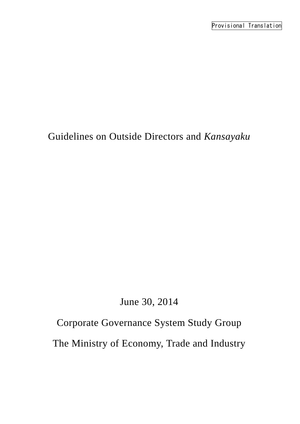# Guidelines on Outside Directors and *Kansayaku*

# June 30, 2014

# Corporate Governance System Study Group

The Ministry of Economy, Trade and Industry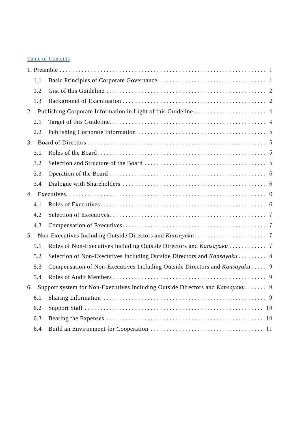# Table of Contents

|    | 1.1 |                                                                               |  |
|----|-----|-------------------------------------------------------------------------------|--|
|    | 1.2 |                                                                               |  |
|    | 1.3 |                                                                               |  |
|    |     |                                                                               |  |
|    | 2.1 |                                                                               |  |
|    | 2.2 |                                                                               |  |
| 3. |     |                                                                               |  |
|    | 3.1 |                                                                               |  |
|    | 3.2 |                                                                               |  |
|    | 3.3 |                                                                               |  |
|    | 3.4 |                                                                               |  |
|    |     |                                                                               |  |
|    | 4.1 |                                                                               |  |
|    | 4.2 |                                                                               |  |
|    | 4.3 |                                                                               |  |
| 5. |     |                                                                               |  |
|    | 5.1 |                                                                               |  |
|    | 5.2 | Selection of Non-Executives Including Outside Directors and Kansayaku  8      |  |
|    | 5.3 | Compensation of Non-Executives Including Outside Directors and Kansayaku 9    |  |
|    | 5.4 |                                                                               |  |
| 6. |     | Support system for Non-Executives Including Outside Directors and Kansayaku 9 |  |
|    | 6.1 |                                                                               |  |
|    | 6.2 |                                                                               |  |
|    | 6.3 |                                                                               |  |
|    | 6.4 |                                                                               |  |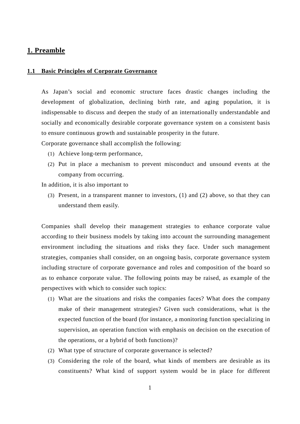# <span id="page-2-0"></span>**1. Preamble**

#### <span id="page-2-1"></span>**1.1 Basic Principles of Corporate Governance**

As Japan's social and economic structure faces drastic changes including the development of globalization, declining birth rate, and aging population, it is indispensable to discuss and deepen the study of an internationally understandable and socially and economically desirable corporate governance system on a consistent basis to ensure continuous growth and sustainable prosperity in the future.

Corporate governance shall accomplish the following:

- (1) Achieve long-term performance,
- (2) Put in place a mechanism to prevent misconduct and unsound events at the company from occurring.

In addition, it is also important to

(3) Present, in a transparent manner to investors, (1) and (2) above, so that they can understand them easily.

Companies shall develop their management strategies to enhance corporate value according to their business models by taking into account the surrounding management environment including the situations and risks they face. Under such management strategies, companies shall consider, on an ongoing basis, corporate governance system including structure of corporate governance and roles and composition of the board so as to enhance corporate value. The following points may be raised, as example of the perspectives with which to consider such topics:

- (1) What are the situations and risks the companies faces? What does the company make of their management strategies? Given such considerations, what is the expected function of the board (for instance, a monitoring function specializing in supervision, an operation function with emphasis on decision on the execution of the operations, or a hybrid of both functions)?
- (2) What type of structure of corporate governance is selected?
- (3) Considering the role of the board, what kinds of members are desirable as its constituents? What kind of support system would be in place for different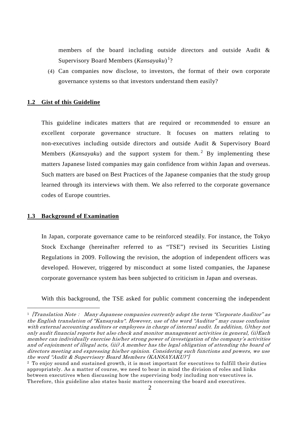members of the board including outside directors and outside Audit & Supervisory Board Members (Kansayaku)<sup>[1](#page-3-2)</sup>?

(4) Can companies now disclose, to investors, the format of their own corporate governance systems so that investors understand them easily?

# <span id="page-3-0"></span>**1.2 Gist of this Guideline**

This guideline indicates matters that are required or recommended to ensure an excellent corporate governance structure. It focuses on matters relating to non-executives including outside directors and outside Audit & Supervisory Board Members (*Kansayaku*) and the support system for them. [2](#page-3-3) By implementing these matters Japanese listed companies may gain confidence from within Japan and overseas. Such matters are based on Best Practices of the Japanese companies that the study group learned through its interviews with them. We also referred to the corporate governance codes of Europe countries.

#### <span id="page-3-1"></span>**1.3 Background of Examination**

 $\overline{a}$ 

In Japan, corporate governance came to be reinforced steadily. For instance, the Tokyo Stock Exchange (hereinafter referred to as "TSE") revised its Securities Listing Regulations in 2009. Following the revision, the adoption of independent officers was developed. However, triggered by misconduct at some listed companies, the Japanese corporate governance system has been subjected to criticism in Japan and overseas.

With this background, the TSE asked for public comment concerning the independent

<span id="page-3-2"></span> $1$  [Translation Note: Many Japanese companies currently adopt the term "Corporate Auditor" as the English translation of "Kansayaku". However, use of the word "Auditor" may cause confusion with external accounting auditors or employees in charge of internal audit. In addition, (i)they not only audit financial reports but also check and monitor management activities in general, (ii)Each member can individually exercise his/her strong power of investigation of the company's activities and of enjoinment of illegal acts, (iii) A member has the legal obligation of attending the board of directors meeting and expressing his/her opinion. Considering such functions and powers, we use the word "Audit & Supervisory Board Members (KANSAYAKU)"]

<span id="page-3-3"></span><sup>2</sup> To enjoy sound and sustained growth, it is most important for executives to fulfill their duties appropriately. As a matter of course, we need to bear in mind the division of roles and links between executives when discussing how the supervising body including non-executives is. Therefore, this guideline also states basic matters concerning the board and executives.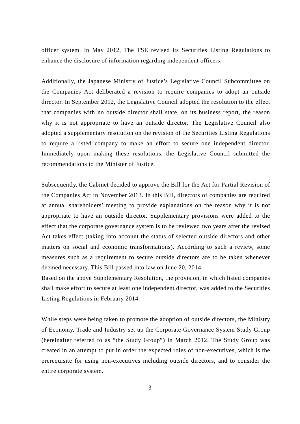officer system. In May 2012, The TSE revised its Securities Listing Regulations to enhance the disclosure of information regarding independent officers.

Additionally, the Japanese Ministry of Justice's Legislative Council Subcommittee on the Companies Act deliberated a revision to require companies to adopt an outside director. In September 2012, the Legislative Council adopted the resolution to the effect that companies with no outside director shall state, on its business report, the reason why it is not appropriate to have an outside director. The Legislative Council also adopted a supplementary resolution on the revision of the Securities Listing Regulations to require a listed company to make an effort to secure one independent director. Immediately upon making these resolutions, the Legislative Council submitted the recommendations to the Minister of Justice.

Subsequently, the Cabinet decided to approve the Bill for the Act for Partial Revision of the Companies Act in November 2013. In this Bill, directors of companies are required at annual shareholders' meeting to provide explanations on the reason why it is not appropriate to have an outside director. Supplementary provisions were added to the effect that the corporate governance system is to be reviewed two years after the revised Act takes effect (taking into account the status of selected outside directors and other matters on social and economic transformations). According to such a review, some measures such as a requirement to secure outside directors are to be taken whenever deemed necessary. This Bill passed into law on June 20, 2014

Based on the above Supplementary Resolution, the provision, in which listed companies shall make effort to secure at least one independent director, was added to the Securities Listing Regulations in February 2014.

While steps were being taken to promote the adoption of outside directors, the Ministry of Economy, Trade and Industry set up the Corporate Governance System Study Group (hereinafter referred to as "the Study Group") in March 2012. The Study Group was created in an attempt to put in order the expected roles of non-executives, which is the prerequisite for using non-executives including outside directors, and to consider the entire corporate system.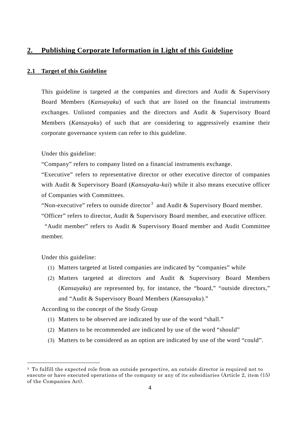# <span id="page-5-0"></span>**2. Publishing Corporate Information in Light of this Guideline**

## <span id="page-5-1"></span>**2.1 Target of this Guideline**

This guideline is targeted at the companies and directors and Audit & Supervisory Board Members (*Kansayaku*) of such that are listed on the financial instruments exchanges. Unlisted companies and the directors and Audit & Supervisory Board Members (*Kansayaku*) of such that are considering to aggressively examine their corporate governance system can refer to this guideline.

Under this guideline:

"Company" refers to company listed on a financial instruments exchange.

"Executive" refers to representative director or other executive director of companies with Audit & Supervisory Board (*Kansayaku-kai*) while it also means executive officer of Companies with Committees.

"Non-executive" refers to outside director<sup>[3](#page-5-2)</sup> and Audit & Supervisory Board member.

"Officer" refers to director, Audit & Supervisory Board member, and executive officer.

"Audit member" refers to Audit & Supervisory Board member and Audit Committee member.

Under this guideline:

-

- (1) Matters targeted at listed companies are indicated by "companies" while
- (2) Matters targeted at directors and Audit & Supervisory Board Members (*Kansayaku*) are represented by, for instance, the "board," "outside directors," and "Audit & Supervisory Board Members (*Kansayaku*)."

According to the concept of the Study Group

- (1) Matters to be observed are indicated by use of the word "shall."
- (2) Matters to be recommended are indicated by use of the word "should"
- (3) Matters to be considered as an option are indicated by use of the word "could".

<span id="page-5-2"></span><sup>3</sup> To fulfill the expected role from an outside perspective, an outside director is required not to execute or have executed operations of the company or any of its subsidiaries (Article 2, item (15) of the Companies Act).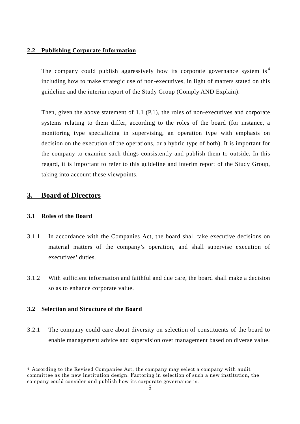## <span id="page-6-0"></span>**2.2 Publishing Corporate Information**

The company could publish aggressively how its corporate governance system is<sup>[4](#page-6-4)</sup> including how to make strategic use of non-executives, in light of matters stated on this guideline and the interim report of the Study Group (Comply AND Explain).

Then, given the above statement of 1.1 (P.1), the roles of non-executives and corporate systems relating to them differ, according to the roles of the board (for instance, a monitoring type specializing in supervising, an operation type with emphasis on decision on the execution of the operations, or a hybrid type of both). It is important for the company to examine such things consistently and publish them to outside. In this regard, it is important to refer to this guideline and interim report of the Study Group, taking into account these viewpoints.

# <span id="page-6-1"></span>**3. Board of Directors**

# <span id="page-6-2"></span>**3.1 Roles of the Board**

-

- 3.1.1 In accordance with the Companies Act, the board shall take executive decisions on material matters of the company's operation, and shall supervise execution of executives' duties.
- 3.1.2 With sufficient information and faithful and due care, the board shall make a decision so as to enhance corporate value.

# <span id="page-6-3"></span>**3.2 Selection and Structure of the Board**

3.2.1 The company could care about diversity on selection of constituents of the board to enable management advice and supervision over management based on diverse value.

<span id="page-6-4"></span><sup>4</sup> According to the Revised Companies Act, the company may select a company with audit committee as the new institution design. Factoring in selection of such a new institution, the company could consider and publish how its corporate governance is.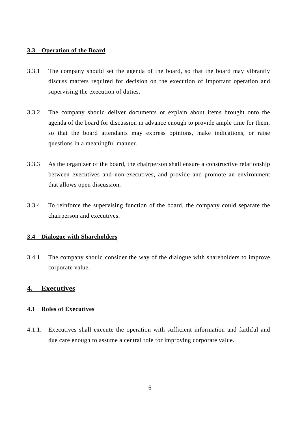# <span id="page-7-0"></span>**3.3 Operation of the Board**

- 3.3.1 The company should set the agenda of the board, so that the board may vibrantly discuss matters required for decision on the execution of important operation and supervising the execution of duties.
- 3.3.2 The company should deliver documents or explain about items brought onto the agenda of the board for discussion in advance enough to provide ample time for them, so that the board attendants may express opinions, make indications, or raise questions in a meaningful manner.
- 3.3.3 As the organizer of the board, the chairperson shall ensure a constructive relationship between executives and non-executives, and provide and promote an environment that allows open discussion.
- 3.3.4 To reinforce the supervising function of the board, the company could separate the chairperson and executives.

# <span id="page-7-1"></span>**3.4 Dialogue with Shareholders**

3.4.1 The company should consider the way of the dialogue with shareholders to improve corporate value.

# <span id="page-7-2"></span>**4. Executives**

# <span id="page-7-3"></span>**4.1 Roles of Executives**

4.1.1. Executives shall execute the operation with sufficient information and faithful and due care enough to assume a central role for improving corporate value.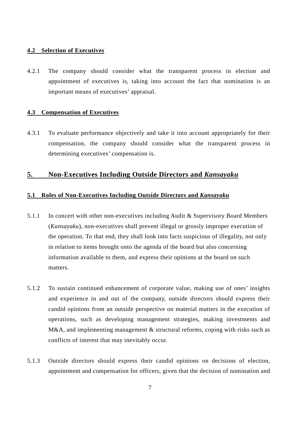### <span id="page-8-0"></span>**4.2 Selection of Executives**

4.2.1 The company should consider what the transparent process in election and appointment of executives is, taking into account the fact that nomination is an important means of executives' appraisal.

#### <span id="page-8-1"></span>**4.3 Compensation of Executives**

4.3.1 To evaluate performance objectively and take it into account appropriately for their compensation, the company should consider what the transparent process in determining executives' compensation is.

# <span id="page-8-2"></span>**5. Non-Executives Including Outside Directors and** *Kansayaku*

#### <span id="page-8-3"></span>**5.1 Roles of Non-Executives Including Outside Directors and** *Kansayaku*

- 5.1.1 In concert with other non-executives including Audit  $&$  Supervisory Board Members (*Kansayaku*), non-executives shall prevent illegal or grossly improper execution of the operation. To that end, they shall look into facts suspicious of illegality, not only in relation to items brought onto the agenda of the board but also concerning information available to them, and express their opinions at the board on such matters.
- 5.1.2 To sustain continued enhancement of corporate value, making use of ones' insights and experience in and out of the company, outside directors should express their candid opinions from an outside perspective on material matters in the execution of operations, such as developing management strategies, making investments and M&A, and implementing management & structural reforms, coping with risks such as conflicts of interest that may inevitably occur.
- 5.1.3 Outside directors should express their candid opinions on decisions of election, appointment and compensation for officers, given that the decision of nomination and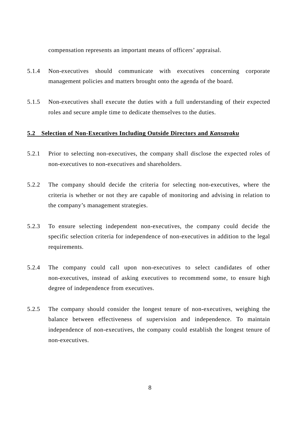compensation represents an important means of officers' appraisal.

- 5.1.4 Non-executives should communicate with executives concerning corporate management policies and matters brought onto the agenda of the board.
- 5.1.5 Non-executives shall execute the duties with a full understanding of their expected roles and secure ample time to dedicate themselves to the duties.

#### <span id="page-9-0"></span>**5.2 Selection of Non-Executives Including Outside Directors and** *Kansayaku*

- 5.2.1 Prior to selecting non-executives, the company shall disclose the expected roles of non-executives to non-executives and shareholders.
- 5.2.2 The company should decide the criteria for selecting non-executives, where the criteria is whether or not they are capable of monitoring and advising in relation to the company's management strategies.
- 5.2.3 To ensure selecting independent non-executives, the company could decide the specific selection criteria for independence of non-executives in addition to the legal requirements.
- 5.2.4 The company could call upon non-executives to select candidates of other non-executives, instead of asking executives to recommend some, to ensure high degree of independence from executives.
- 5.2.5 The company should consider the longest tenure of non-executives, weighing the balance between effectiveness of supervision and independence. To maintain independence of non-executives, the company could establish the longest tenure of non-executives.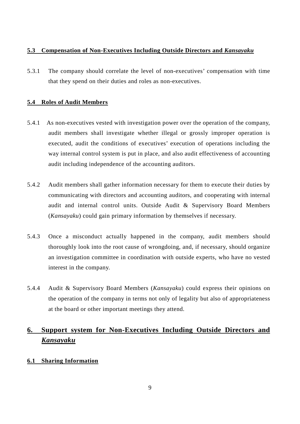# <span id="page-10-0"></span>**5.3 Compensation of Non-Executives Including Outside Directors and** *Kansayaku*

5.3.1 The company should correlate the level of non-executives' compensation with time that they spend on their duties and roles as non-executives.

# <span id="page-10-1"></span>**5.4 Roles of Audit Members**

- 5.4.1 As non-executives vested with investigation power over the operation of the company, audit members shall investigate whether illegal or grossly improper operation is executed, audit the conditions of executives' execution of operations including the way internal control system is put in place, and also audit effectiveness of accounting audit including independence of the accounting auditors.
- 5.4.2 Audit members shall gather information necessary for them to execute their duties by communicating with directors and accounting auditors, and cooperating with internal audit and internal control units. Outside Audit & Supervisory Board Members (*Kansayaku*) could gain primary information by themselves if necessary.
- 5.4.3 Once a misconduct actually happened in the company, audit members should thoroughly look into the root cause of wrongdoing, and, if necessary, should organize an investigation committee in coordination with outside experts, who have no vested interest in the company.
- 5.4.4 Audit & Supervisory Board Members (*Kansayaku*) could express their opinions on the operation of the company in terms not only of legality but also of appropriateness at the board or other important meetings they attend.

# <span id="page-10-2"></span>**6. Support system for Non-Executives Including Outside Directors and**  *Kansayaku*

# <span id="page-10-3"></span>**6.1 Sharing Information**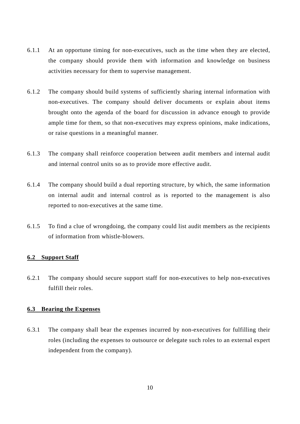- 6.1.1 At an opportune timing for non-executives, such as the time when they are elected, the company should provide them with information and knowledge on business activities necessary for them to supervise management.
- 6.1.2 The company should build systems of sufficiently sharing internal information with non-executives. The company should deliver documents or explain about items brought onto the agenda of the board for discussion in advance enough to provide ample time for them, so that non-executives may express opinions, make indications, or raise questions in a meaningful manner.
- 6.1.3 The company shall reinforce cooperation between audit members and internal audit and internal control units so as to provide more effective audit.
- 6.1.4 The company should build a dual reporting structure, by which, the same information on internal audit and internal control as is reported to the management is also reported to non-executives at the same time.
- 6.1.5 To find a clue of wrongdoing, the company could list audit members as the recipients of information from whistle-blowers.

## <span id="page-11-0"></span>**6.2 Support Staff**

6.2.1 The company should secure support staff for non-executives to help non-executives fulfill their roles.

#### <span id="page-11-1"></span>**6.3 Bearing the Expenses**

6.3.1 The company shall bear the expenses incurred by non-executives for fulfilling their roles (including the expenses to outsource or delegate such roles to an external expert independent from the company).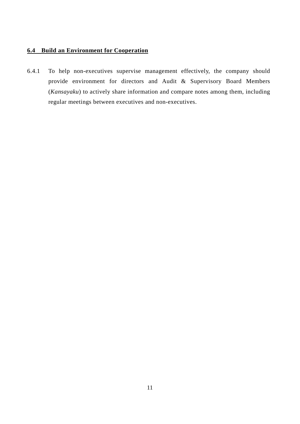# <span id="page-12-0"></span>**6.4 Build an Environment for Cooperation**

6.4.1 To help non-executives supervise management effectively, the company should provide environment for directors and Audit & Supervisory Board Members (*Kansayaku*) to actively share information and compare notes among them, including regular meetings between executives and non-executives.